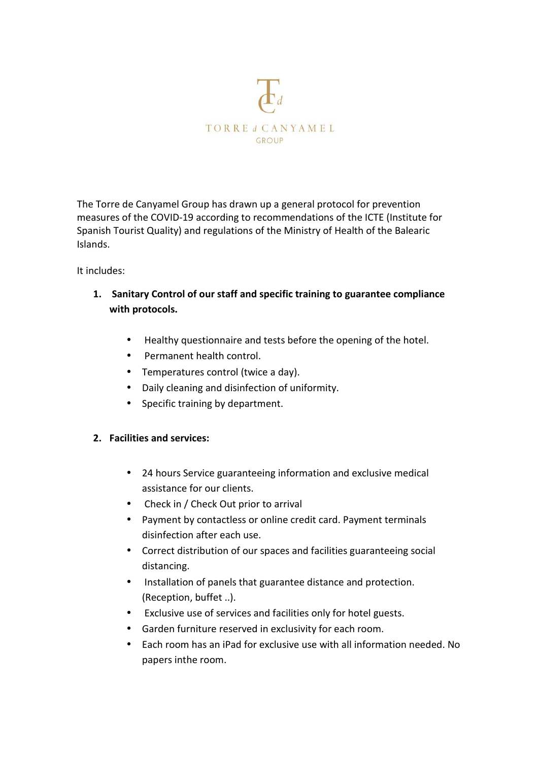

The Torre de Canyamel Group has drawn up a general protocol for prevention measures of the COVID-19 according to recommendations of the ICTE (Institute for Spanish Tourist Quality) and regulations of the Ministry of Health of the Balearic Islands.

## It includes:

- **1. Sanitary Control of our staff and specific training to guarantee compliance with protocols.** 
	- Healthy questionnaire and tests before the opening of the hotel.
	- Permanent health control.
	- Temperatures control (twice a day).
	- Daily cleaning and disinfection of uniformity.
	- Specific training by department.

## **2. Facilities and services:**

- 24 hours Service guaranteeing information and exclusive medical assistance for our clients.
- Check in / Check Out prior to arrival
- Payment by contactless or online credit card. Payment terminals disinfection after each use.
- Correct distribution of our spaces and facilities guaranteeing social distancing.
- Installation of panels that guarantee distance and protection. (Reception, buffet ..).
- Exclusive use of services and facilities only for hotel guests.
- Garden furniture reserved in exclusivity for each room.
- Each room has an iPad for exclusive use with all information needed. No papers inthe room.